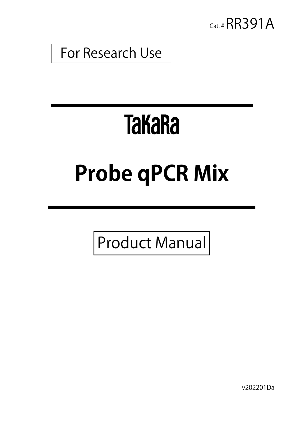

For Research Use

# **TakaRa**

# **Probe qPCR Mix**

Product Manual

v202201Da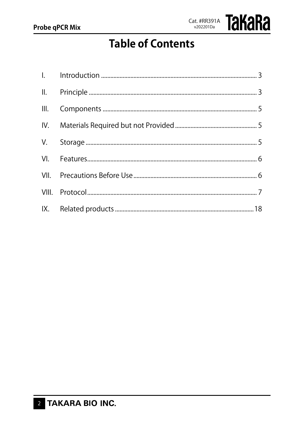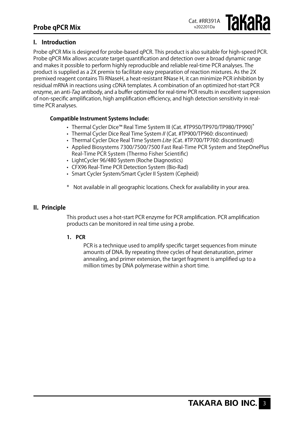# **I. Introduction**

Probe qPCR Mix is designed for probe-based qPCR. This product is also suitable for high-speed PCR. Probe qPCR Mix allows accurate target quantification and detection over a broad dynamic range and makes it possible to perform highly reproducible and reliable real-time PCR analyses. The product is supplied as a 2X premix to facilitate easy preparation of reaction mixtures. As the 2X premixed reagent contains Tli RNaseH, a heat-resistant RNase H, it can minimize PCR inhibition by residual mRNA in reactions using cDNA templates. A combination of an optimized hot-start PCR enzyme, an anti-*Taq* antibody, and a buffer optimized for real-time PCR results in excellent suppression of non-specific amplification, high amplification efficiency, and high detection sensitivity in realtime PCR analyses.

### **Compatible Instrument Systems Include:**

- Thermal Cycler Dice™ Real Time System III (Cat. #TP950/TP970/TP980/TP990)<sup>\*</sup>
- Thermal Cycler Dice Real Time System // (Cat. #TP900/TP960: discontinued)
- Thermal Cycler Dice Real Time System Lite (Cat. #TP700/TP760: discontinued)
- • Applied Biosystems 7300/7500/7500 Fast Real-Time PCR System and StepOnePlus Real-Time PCR System (Thermo Fisher Scientific)
- LightCycler 96/480 System (Roche Diagnostics)
- CFX96 Real-Time PCR Detection System (Bio-Rad)
- Smart Cycler System/Smart Cycler II System (Cepheid)
- Not available in all geographic locations. Check for availability in your area.

#### **II. Principle**

This product uses a hot-start PCR enzyme for PCR amplification. PCR amplification products can be monitored in real time using a probe.

#### **1. PCR**

PCR is a technique used to amplify specific target sequences from minute amounts of DNA. By repeating three cycles of heat denaturation, primer annealing, and primer extension, the target fragment is amplified up to a million times by DNA polymerase within a short time.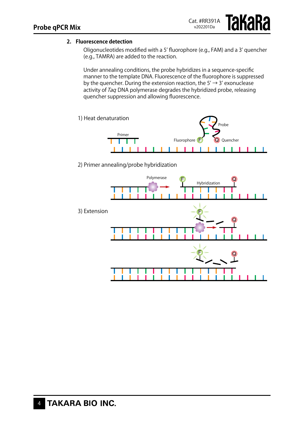### **2. Fluorescence detection**

Oligonucleotides modified with a 5' fluorophore (e.g., FAM) and a 3' quencher (e.g., TAMRA) are added to the reaction.

Under annealing conditions, the probe hybridizes in a sequence-specific manner to the template DNA. Fluorescence of the fluorophore is suppressed by the quencher. During the extension reaction, the  $5' \rightarrow 3'$  exonuclease activity of Taq DNA polymerase degrades the hybridized probe, releasing quencher suppression and allowing fluorescence.



2) Primer annealing/probe hybridization

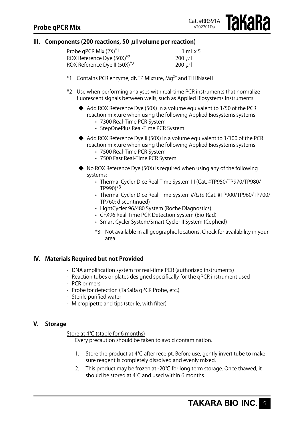**TAKARA** 

# **lIl. Components (200 reactions, 50 μl volume per reaction)**

| Probe qPCR Mix (2X) <sup>*1</sup>        | $1 \text{ ml} x 5$     |
|------------------------------------------|------------------------|
| ROX Reference Dye (50X) <sup>*2</sup>    | 200 $\mu$ I            |
| ROX Reference Dye II (50X) <sup>*2</sup> | 200 $\mu$ <sub>1</sub> |

- $*1$  Contains PCR enzyme, dNTP Mixture, Mg<sup>2+</sup> and Tli RNaseH
- \*2 Use when performing analyses with real-time PCR instruments that normalize fluorescent signals between wells, such as Applied Biosystems instruments.
	- ◆ Add ROX Reference Dye (50X) in a volume equivalent to 1/50 of the PCR reaction mixture when using the following Applied Biosystems systems:
		- • 7300 Real-Time PCR System
		- StepOnePlus Real-Time PCR System
	- $\blacklozenge$  Add ROX Reference Dye II (50X) in a volume equivalent to 1/100 of the PCR reaction mixture when using the following Applied Biosystems systems:
		- • 7500 Real-Time PCR System
		- 7500 Fast Real-Time PCR System
	- $\blacklozenge$  No ROX Reference Dye (50X) is required when using any of the following systems:
		- Thermal Cycler Dice Real Time System III (Cat. #TP950/TP970/TP980/ TP990)\*3
		- Thermal Cycler Dice Real Time System II/Lite (Cat. #TP900/TP960/TP700/ TP760: discontinued)
		- LightCycler 96/480 System (Roche Diagnostics)
		- CFX96 Real-Time PCR Detection System (Bio-Rad)
		- Smart Cycler System/Smart Cycler II System (Cepheid)
		- \*3 Not available in all geographic locations. Check for availability in your area.

#### **lV. Materials Required but not Provided**

- DNA amplification system for real-time PCR (authorized instruments)
- Reaction tubes or plates designed specifically for the qPCR instrument used
- PCR primers
- Probe for detection (TaKaRa qPCR Probe, etc.)
- Sterile purified water
- Micropipette and tips (sterile, with filter)

#### **V. Storage**

Store at 4℃ (stable for 6 months)

Every precaution should be taken to avoid contamination.

- 1. Store the product at 4℃ after receipt. Before use, gently invert tube to make sure reagent is completely dissolved and evenly mixed.
- 2. This product may be frozen at -20℃ for long term storage. Once thawed, it should be stored at 4℃ and used within 6 months.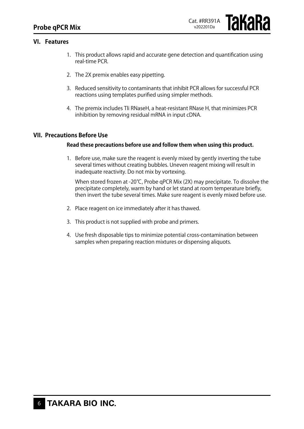### **VI. Features**

- 1. This product allows rapid and accurate gene detection and quantification using real-time PCR.
- 2. The 2X premix enables easy pipetting.
- 3. Reduced sensitivity to contaminants that inhibit PCR allows for successful PCR reactions using templates purified using simpler methods.
- 4. The premix includes Tli RNaseH, a heat-resistant RNase H, that minimizes PCR inhibition by removing residual mRNA in input cDNA.

#### **VII. Precautions Before Use**

#### **Read these precautions before use and follow them when using this product.**

1. Before use, make sure the reagent is evenly mixed by gently inverting the tube several times without creating bubbles. Uneven reagent mixing will result in inadequate reactivity. Do not mix by vortexing.

 When stored frozen at -20℃, Probe qPCR Mix (2X) may precipitate. To dissolve the precipitate completely, warm by hand or let stand at room temperature briefly, then invert the tube several times. Make sure reagent is evenly mixed before use.

- 2. Place reagent on ice immediately after it has thawed.
- 3. This product is not supplied with probe and primers.
- 4. Use fresh disposable tips to minimize potential cross-contamination between samples when preparing reaction mixtures or dispensing aliquots.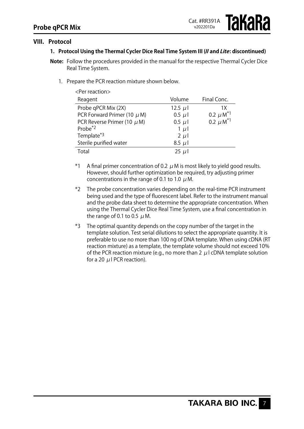# **VIII. Protocol**

# **1. Protocol Using the Thermal Cycler Dice Real Time System III (II and Lite: discontinued)**

- **Note:** Follow the procedures provided in the manual for the respective Thermal Cycler Dice Real Time System.
	- 1. Prepare the PCR reaction mixture shown below.

| <per reaction=""></per>         |             |                           |  |  |  |
|---------------------------------|-------------|---------------------------|--|--|--|
| Reagent                         | Volume      | Final Conc.               |  |  |  |
| Probe qPCR Mix (2X)             | 12.5 $\mu$  | 1Χ                        |  |  |  |
| PCR Forward Primer (10 $\mu$ M) | $0.5 \mu l$ | 0.2 $\mu$ M <sup>*1</sup> |  |  |  |
| PCR Reverse Primer (10 $\mu$ M) | $0.5 \mu$   | 0.2 $\mu$ M <sup>*1</sup> |  |  |  |
| Probe <sup>*2</sup>             | $1 \mu l$   |                           |  |  |  |
| Template*3                      | $2 \mu l$   |                           |  |  |  |
| Sterile purified water          | $8.5 \mu$   |                           |  |  |  |
| Total                           | $25 \mu$    |                           |  |  |  |

- \*1 A final primer concentration of 0.2  $\mu$  M is most likely to yield good results. However, should further optimization be required, try adjusting primer concentrations in the range of 0.1 to 1.0  $\mu$  M.
- \*2 The probe concentration varies depending on the real-time PCR instrument being used and the type of fluorescent label. Refer to the instrument manual and the probe data sheet to determine the appropriate concentration. When using the Thermal Cycler Dice Real Time System, use a final concentration in the range of 0.1 to 0.5  $\mu$  M.
- \*3 The optimal quantity depends on the copy number of the target in the template solution. Test serial dilutions to select the appropriate quantity. It is preferable to use no more than 100 ng of DNA template. When using cDNA (RT reaction mixture) as a template, the template volume should not exceed 10% of the PCR reaction mixture (e.g., no more than 2  $\mu$  I cDNA template solution for a 20 μl PCR reaction).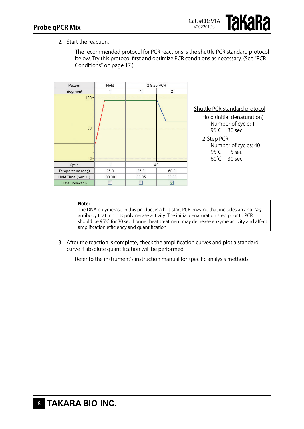2. Start the reaction.

The recommended protocol for PCR reactions is the shuttle PCR standard protocol below. Try this protocol first and optimize PCR conditions as necessary. (See "PCR Conditions" on page 17.)



#### **Note:**

The DNA polymerase in this product is a hot-start PCR enzyme that includes an anti-Taq antibody that inhibits polymerase activity. The initial denaturation step prior to PCR should be 95℃ for 30 sec. Longer heat treatment may decrease enzyme activity and affect amplification efficiency and quantification.

3. After the reaction is complete, check the amplification curves and plot a standard curve if absolute quantification will be performed.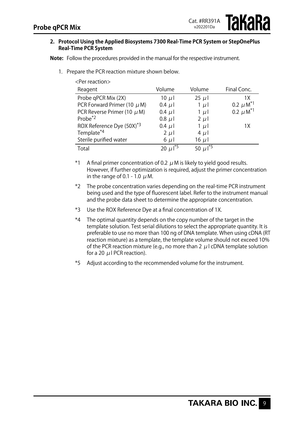**IAKAKA** 

#### **2. Protocol Using the Applied Biosystems 7300 Real-Time PCR System or StepOnePlus Real-Time PCR System**

**Note:** Follow the procedures provided in the manual for the respective instrument.

1. Prepare the PCR reaction mixture shown below.

| <per reaction=""></per>               |                      |                          |                           |  |  |
|---------------------------------------|----------------------|--------------------------|---------------------------|--|--|
| Reagent                               | Volume               | Volume                   | Final Conc.               |  |  |
| Probe qPCR Mix (2X)                   | 10 $\mu$             | 25 $\mu$                 | 1X                        |  |  |
| PCR Forward Primer (10 $\mu$ M)       | $0.4 \mu l$          | $1 \mu l$                | 0.2 $\mu$ M <sup>*1</sup> |  |  |
| PCR Reverse Primer (10 $\mu$ M)       | $0.4 \mu l$          | $1 \mu l$                | 0.2 $\mu$ M <sup>*1</sup> |  |  |
| Probe $*2$                            | $0.8 \mu$            | $2 \mu l$                |                           |  |  |
| ROX Reference Dye (50X) <sup>*3</sup> | $0.4 \mu l$          | $1 \mu l$                | 1X                        |  |  |
| Template*4                            | $2 \mu l$            | $4 \mu$                  |                           |  |  |
| Sterile purified water                | $6 \mu l$            | $16 \mu$                 |                           |  |  |
| Total                                 | 20 µ 1 <sup>"5</sup> | 50 $\mu$ l <sup>*5</sup> |                           |  |  |

- \*1 A final primer concentration of 0.2  $\mu$  M is likely to yield good results. However, if further optimization is required, adjust the primer concentration in the range of 0.1 - 1.0  $\mu$  M.
- \*2 The probe concentration varies depending on the real-time PCR instrument being used and the type of fluorescent label. Refer to the instrument manual and the probe data sheet to determine the appropriate concentration.
- \*3 Use the ROX Reference Dye at a final concentration of 1X.
- \*4 The optimal quantity depends on the copy number of the target in the template solution. Test serial dilutions to select the appropriate quantity. It is preferable to use no more than 100 ng of DNA template. When using cDNA (RT reaction mixture) as a template, the template volume should not exceed 10% of the PCR reaction mixture (e.g., no more than 2  $\mu$  I cDNA template solution for a 20  $\mu$  I PCR reaction).
- \*5 Adjust according to the recommended volume for the instrument.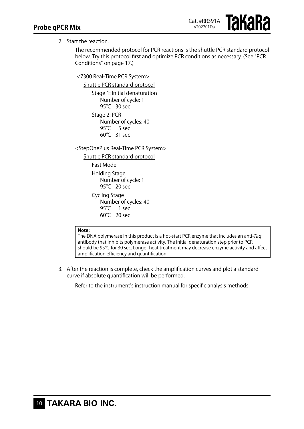**TAKARA** 

# 2. Start the reaction.

The recommended protocol for PCR reactions is the shuttle PCR standard protocol below. Try this protocol first and optimize PCR conditions as necessary. (See "PCR Conditions" on page 17.)

<7300 Real-Time PCR System>

Shuttle PCR standard protocol Stage 1: Initial denaturation Number of cycle: 1 95℃ 30 sec Stage 2: PCR Number of cycles: 40 95<sup>°</sup>C 5 sec 60℃ 31 sec

<StepOnePlus Real-Time PCR System>

Shuttle PCR standard protocol Fast Mode Holding Stage Number of cycle: 1 95℃ 20 sec Cycling Stage Number of cycles: 40 95℃ 1 sec 60℃ 20 sec

#### **Note:**

The DNA polymerase in this product is a hot-start PCR enzyme that includes an anti-Tag antibody that inhibits polymerase activity. The initial denaturation step prior to PCR should be 95℃ for 30 sec. Longer heat treatment may decrease enzyme activity and affect amplification efficiency and quantification.

3. After the reaction is complete, check the amplification curves and plot a standard curve if absolute quantification will be performed.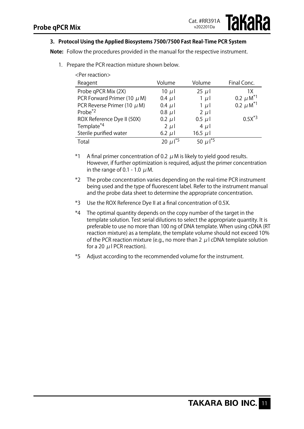# **3. Protocol Using the Applied Biosystems 7500/7500 Fast Real-Time PCR System**

**Note:** Follow the procedures provided in the manual for the respective instrument.

- <Per reaction> Reagent Volume Volume Final Conc. Probe qPCR Mix (2X)  $10 \mu I$  25  $\mu I$  1X<br>
PCR Forward Primer (10  $\mu$  M) 0.4  $\mu I$  1  $\mu$  1 PCR Forward Primer (10  $\mu$  M)  $\phantom{0}0.4$   $\mu$  l  $\phantom{0}1$   $\mu$  l  $\phantom{0}0.2$   $\mu$  M<sup>\*1</sup><br>PCR Reverse Primer (10  $\mu$  M)  $\phantom{0}0.4$   $\mu$  l  $\phantom{0}1$   $\mu$  l  $\phantom{0}0.2$   $\mu$  M<sup>\*1</sup> PCR Reverse Primer (10  $\mu$  M) 0.4  $\mu$ 1 1  $\mu$ 1 Probe<sup>\*2</sup> 0.8 μl 2 μl ROX Reference Dye II (50X)  $0.2 \mu$ I  $0.5 \mu$ I 0.5X<sup>\*3</sup> Template<sup>\*4</sup> 2 μl 4 μl Sterile purified water 6.2  $\mu$ l 16.5  $\mu$ l Total 20  $\mu$ 1<sup>\*5</sup> 50  $\mu$ 1<sup>\*5</sup>
- 1. Prepare the PCR reaction mixture shown below.

- \*1 A final primer concentration of 0.2  $\mu$  M is likely to yield good results. However, if further optimization is required, adjust the primer concentration in the range of 0.1 - 1.0  $\mu$  M.
- \*2 The probe concentration varies depending on the real-time PCR instrument being used and the type of fluorescent label. Refer to the instrument manual and the probe data sheet to determine the appropriate concentration.
- \*3 Use the ROX Reference Dye II at a final concentration of 0.5X.
- \*4 The optimal quantity depends on the copy number of the target in the template solution. Test serial dilutions to select the appropriate quantity. It is preferable to use no more than 100 ng of DNA template. When using cDNA (RT reaction mixture) as a template, the template volume should not exceed 10% of the PCR reaction mixture (e.g., no more than 2  $\mu$  I cDNA template solution for a 20  $\mu$  I PCR reaction).
- \*5 Adjust according to the recommended volume for the instrument.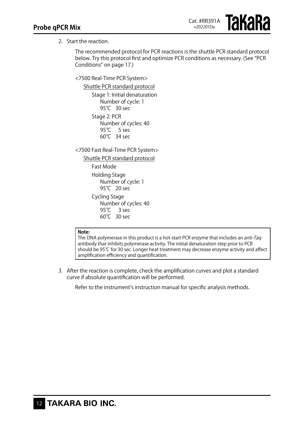**Takara** 

# 2. Start the reaction.

The recommended protocol for PCR reactions is the shuttle PCR standard protocol below. Try this protocol first and optimize PCR conditions as necessary. (See "PCR Conditions" on page 17.)

<7500 Real-Time PCR System>

Shuttle PCR standard protocol Stage 1: Initial denaturation Number of cycle: 1 95℃ 30 sec Stage 2: PCR Number of cycles: 40 95<sup>°</sup>C 5 sec 60℃ 34 sec

<7500 Fast Real-Time PCR System>

Shuttle PCR standard protocol

Fast Mode Holding Stage Number of cycle: 1 95°C 20 sec Cycling Stage Number of cycles: 40

95<sup>°</sup>C 3 sec 60℃ 30 sec

#### **Note:**

The DNA polymerase in this product is a hot-start PCR enzyme that includes an anti-Taq antibody that inhibits polymerase activity. The initial denaturation step prior to PCR should be 95℃ for 30 sec. Longer heat treatment may decrease enzyme activity and affect amplification efficiency and quantification.

3. After the reaction is complete, check the amplification curves and plot a standard curve if absolute quantification will be performed.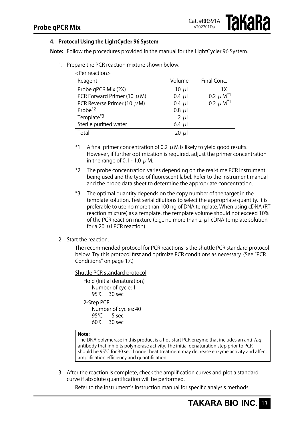# **4. Protocol Using the LightCycler 96 System**

**Note:** Follow the procedures provided in the manual for the LightCycler 96 System.

1. Prepare the PCR reaction mixture shown below.  $\angle$ Por reaction

| ו כו וכמגנוטווא                 |             |                           |
|---------------------------------|-------------|---------------------------|
| Reagent                         | Volume      | Final Conc.               |
| Probe qPCR Mix (2X)             | 10 $\mu$    | 1X                        |
| PCR Forward Primer (10 $\mu$ M) | $0.4 \mu l$ | 0.2 $\mu$ M <sup>*1</sup> |
| PCR Reverse Primer (10 $\mu$ M) | $0.4 \mu l$ | 0.2 $\mu$ M <sup>*1</sup> |
| Probe $*^2$                     | $0.8 \mu l$ |                           |
| Template*3                      | $2 \mu l$   |                           |
| Sterile purified water          | 6.4 $\mu$   |                           |
| Total                           | 20 $\mu$    |                           |

\*1 A final primer concentration of 0.2  $\mu$  M is likely to yield good results. However, if further optimization is required, adjust the primer concentration in the range of 0.1 - 1.0  $\mu$  M.

- \*2 The probe concentration varies depending on the real-time PCR instrument being used and the type of fluorescent label. Refer to the instrument manual and the probe data sheet to determine the appropriate concentration.
- \*3 The optimal quantity depends on the copy number of the target in the template solution. Test serial dilutions to select the appropriate quantity. It is preferable to use no more than 100 ng of DNA template. When using cDNA (RT reaction mixture) as a template, the template volume should not exceed 10% of the PCR reaction mixture (e.g., no more than 2 μl cDNA template solution for a 20  $\mu$  I PCR reaction).
- 2. Start the reaction.

The recommended protocol for PCR reactions is the shuttle PCR standard protocol below. Try this protocol first and optimize PCR conditions as necessary. (See "PCR Conditions" on page 17.)

#### Shuttle PCR standard protocol

Hold (Initial denaturation) Number of cycle: 1 95<sup>°</sup>C 30 sec 2-Step PCR Number of cycles: 40 95<sup>°</sup>C 5 sec

60℃ 30 sec

#### **Note:**

The DNA polymerase in this product is a hot-start PCR enzyme that includes an anti-Tag antibody that inhibits polymerase activity. The initial denaturation step prior to PCR should be 95℃ for 30 sec. Longer heat treatment may decrease enzyme activity and affect amplification efficiency and quantification.

3. After the reaction is complete, check the amplification curves and plot a standard curve if absolute quantification will be performed.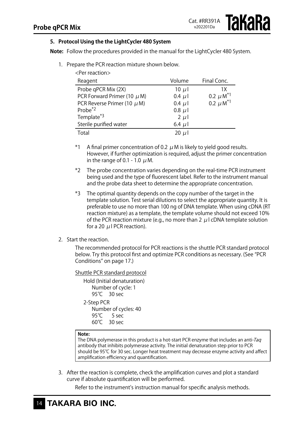**126262** 

# **5. Protocol Using the the LightCycler 480 System**

**Note:** Follow the procedures provided in the manual for the LightCycler 480 System.

- <Per reaction> Reagent **No. 2018** Volume Final Conc. Probe qPCR Mix (2X)  $10 \mu$  10  $\mu$  10  $\mu$  1X<br>PCR Forward Primer (10  $\mu$  M)  $0.4 \mu$  1  $0.2 \mu$  M<sup>\*1</sup> PCR Forward Primer (10  $\mu$  M) 0.4  $\mu$ 1 PCR Reverse Primer (10  $\mu$  M) 0.4  $\mu$  I 0.2  $\mu$  M<sup>\*1</sup> Probe<sup>\*2</sup> 0.8  $\mu$  1 Template<sup>\*3</sup> 2  $\mu$ l Sterile purified water 6.4  $\mu$ l Total 20  $\mu$  1
- 1. Prepare the PCR reaction mixture shown below.

\*1 A final primer concentration of 0.2  $\mu$  M is likely to yield good results. However, if further optimization is required, adjust the primer concentration in the range of 0.1 - 1.0  $\mu$  M.

- \*2 The probe concentration varies depending on the real-time PCR instrument being used and the type of fluorescent label. Refer to the instrument manual and the probe data sheet to determine the appropriate concentration.
- \*3 The optimal quantity depends on the copy number of the target in the template solution. Test serial dilutions to select the appropriate quantity. It is preferable to use no more than 100 ng of DNA template. When using cDNA (RT reaction mixture) as a template, the template volume should not exceed 10% of the PCR reaction mixture (e.g., no more than 2  $\mu$  I cDNA template solution for a 20  $\mu$  I PCR reaction).
- 2. Start the reaction.

The recommended protocol for PCR reactions is the shuttle PCR standard protocol below. Try this protocol first and optimize PCR conditions as necessary. (See "PCR Conditions" on page 17.)

#### Shuttle PCR standard protocol

Hold (Initial denaturation) Number of cycle: 1 95℃ 30 sec 2-Step PCR Number of cycles: 40

95<sup>°</sup>C 5 sec  $60^{\circ}$  30 sec

# **Note:**

The DNA polymerase in this product is a hot-start PCR enzyme that includes an anti-Taq antibody that inhibits polymerase activity. The initial denaturation step prior to PCR should be 95℃ for 30 sec. Longer heat treatment may decrease enzyme activity and affect amplification efficiency and quantification.

3. After the reaction is complete, check the amplification curves and plot a standard curve if absolute quantification will be performed.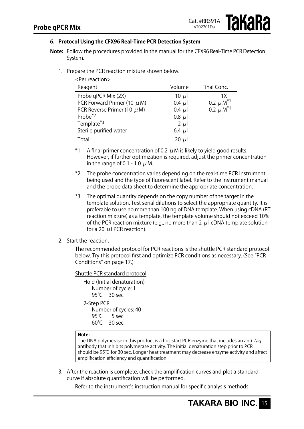# іакака

# **6. Protocol Using the CFX96 Real-Time PCR Detection System**

- **Note:** Follow the procedures provided in the manual for the CFX96 Real-Time PCR Detection System.
	- 1. Prepare the PCR reaction mixture shown below.

| <per reaction=""></per>         |             |                           |  |  |  |
|---------------------------------|-------------|---------------------------|--|--|--|
| Reagent                         | Volume      | Final Conc.               |  |  |  |
| Probe qPCR Mix (2X)             | 10 $\mu$    | 1X                        |  |  |  |
| PCR Forward Primer (10 $\mu$ M) | $0.4 \mu l$ | 0.2 $\mu$ M <sup>*1</sup> |  |  |  |
| PCR Reverse Primer (10 $\mu$ M) | $0.4 \mu$   | 0.2 $\mu$ M <sup>*1</sup> |  |  |  |
| Probe <sup>*2</sup>             | $0.8$ $\mu$ |                           |  |  |  |
| Template*3                      | $2 \mu$     |                           |  |  |  |
| Sterile purified water          | 6.4 $\mu$ l |                           |  |  |  |
| Total                           | 20 $\mu$    |                           |  |  |  |

\*1 A final primer concentration of 0.2  $\mu$  M is likely to yield good results. However, if further optimization is required, adjust the primer concentration in the range of 0.1 - 1.0  $\mu$  M.

- \*2 The probe concentration varies depending on the real-time PCR instrument being used and the type of fluorescent label. Refer to the instrument manual and the probe data sheet to determine the appropriate concentration.
- \*3 The optimal quantity depends on the copy number of the target in the template solution. Test serial dilutions to select the appropriate quantity. It is preferable to use no more than 100 ng of DNA template. When using cDNA (RT reaction mixture) as a template, the template volume should not exceed 10% of the PCR reaction mixture (e.g., no more than 2  $\mu$  I cDNA template solution for a 20  $\mu$  I PCR reaction).

#### 2. Start the reaction.

The recommended protocol for PCR reactions is the shuttle PCR standard protocol below. Try this protocol first and optimize PCR conditions as necessary. (See "PCR Conditions" on page 17.)

#### Shuttle PCR standard protocol

Hold (Initial denaturation) Number of cycle: 1 95<sup>°</sup>C 30 sec 2-Step PCR Number of cycles: 40  $95^\circ$  $5$  sec 60℃ 30 sec

#### **Note:**

The DNA polymerase in this product is a hot-start PCR enzyme that includes an anti-Taq antibody that inhibits polymerase activity. The initial denaturation step prior to PCR should be 95℃ for 30 sec. Longer heat treatment may decrease enzyme activity and affect amplification efficiency and quantification.

3. After the reaction is complete, check the amplification curves and plot a standard curve if absolute quantification will be performed.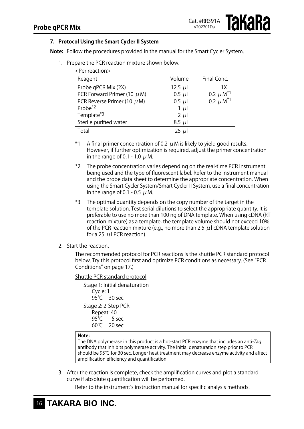# **7. Protocol Using the Smart Cycler II System**

<Per reaction>

**Note:** Follow the procedures provided in the manual for the Smart Cycler System.

1. Prepare the PCR reaction mixture shown below.

| $\sim$ $\sim$ $\sim$ $\sim$ $\sim$ $\sim$ |             |                           |
|-------------------------------------------|-------------|---------------------------|
| Reagent                                   | Volume      | Final Conc.               |
| Probe qPCR Mix (2X)                       | 12.5 $\mu$  | 1 X                       |
| PCR Forward Primer (10 $\mu$ M)           | $0.5 \mu l$ | 0.2 $\mu$ M <sup>*1</sup> |
| PCR Reverse Primer (10 $\mu$ M)           | $0.5 \mu l$ | 0.2 $\mu$ M <sup>*1</sup> |
| Probe <sup>*2</sup>                       | $1 \mu$     |                           |
| Template*3                                | $2 \mu l$   |                           |
| Sterile purified water                    | $8.5 \mu$   |                           |
| Total                                     | $25 \mu$    |                           |

\*1 A final primer concentration of 0.2  $\mu$  M is likely to yield good results. However, if further optimization is required, adjust the primer concentration in the range of 0.1 - 1.0  $\mu$  M.

- \*2 The probe concentration varies depending on the real-time PCR instrument being used and the type of fluorescent label. Refer to the instrument manual and the probe data sheet to determine the appropriate concentration. When using the Smart Cycler System/Smart Cycler II System, use a final concentration in the range of 0.1 - 0.5  $\mu$  M.
- \*3 The optimal quantity depends on the copy number of the target in the template solution. Test serial dilutions to select the appropriate quantity. It is preferable to use no more than 100 ng of DNA template. When using cDNA (RT reaction mixture) as a template, the template volume should not exceed 10% of the PCR reaction mixture (e.g., no more than 2.5  $\mu$  I cDNA template solution for a 25  $\mu$  PCR reaction).

#### 2. Start the reaction.

The recommended protocol for PCR reactions is the shuttle PCR standard protocol below. Try this protocol first and optimize PCR conditions as necessary. (See "PCR Conditions" on page 17.)

#### Shuttle PCR standard protocol

Stage 1: Initial denaturation Cycle: 1 95℃ 30 sec Stage 2: 2-Step PCR Repeat: 40 95℃ 5 sec<br>60℃ 20 sec  $20$  sec

#### **Note:**

The DNA polymerase in this product is a hot-start PCR enzyme that includes an anti-Taq antibody that inhibits polymerase activity. The initial denaturation step prior to PCR should be 95℃ for 30 sec. Longer heat treatment may decrease enzyme activity and affect amplification efficiency and quantification.

3. After the reaction is complete, check the amplification curves and plot a standard curve if absolute quantification will be performed.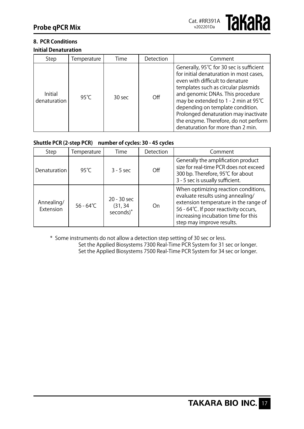#### **8. PCR Conditions Initial Denaturation**

| Step                           | Temperature | Time   | Detection | Comment                                                                                                                                                                                                                                                                                                                                                                                            |
|--------------------------------|-------------|--------|-----------|----------------------------------------------------------------------------------------------------------------------------------------------------------------------------------------------------------------------------------------------------------------------------------------------------------------------------------------------------------------------------------------------------|
| <b>Initial</b><br>denaturation | 95° $C$     | 30 sec | $\Omega$  | Generally, 95℃ for 30 sec is sufficient<br>for initial denaturation in most cases,<br>even with difficult to denature<br>templates such as circular plasmids<br>and genomic DNAs. This procedure<br>may be extended to 1 - 2 min at 95℃<br>depending on template condition.<br>Prolonged denaturation may inactivate<br>the enzyme. Therefore, do not perform<br>denaturation for more than 2 min. |

# **Shuttle PCR (2-step PCR) number of cycles: 30 - 45 cycles**

| Step                    | Temperature         | Time                                  | Detection | Comment                                                                                                                                                                                                                         |
|-------------------------|---------------------|---------------------------------------|-----------|---------------------------------------------------------------------------------------------------------------------------------------------------------------------------------------------------------------------------------|
| Denaturation            | 95° $C$             | $3 - 5$ sec                           | Off       | Generally the amplification product<br>size for real-time PCR does not exceed<br>300 bp. Therefore, 95℃ for about<br>3 - 5 sec is usually sufficient.                                                                           |
| Annealing/<br>Extension | $56 - 64^{\circ}$ C | $20 - 30$ sec<br>(31, 34<br>seconds)* | On        | When optimizing reaction conditions,<br>evaluate results using annealing/<br>extension temperature in the range of<br>56 - 64°C. If poor reactivity occurs,<br>increasing incubation time for this<br>step may improve results. |

\* Some instruments do not allow a detection step setting of 30 sec or less.

Set the Applied Biosystems 7300 Real-Time PCR System for 31 sec or longer. Set the Applied Biosystems 7500 Real-Time PCR System for 34 sec or longer.